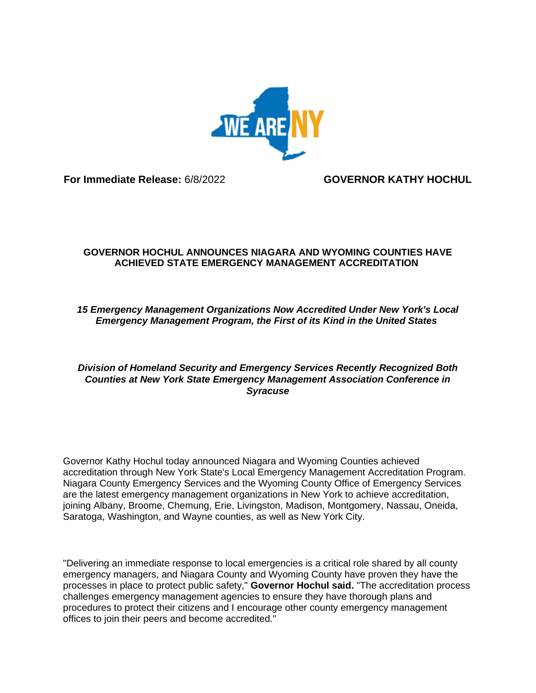

**For Immediate Release:** 6/8/2022 **GOVERNOR KATHY HOCHUL**

## **GOVERNOR HOCHUL ANNOUNCES NIAGARA AND WYOMING COUNTIES HAVE ACHIEVED STATE EMERGENCY MANAGEMENT ACCREDITATION**

## *15 Emergency Management Organizations Now Accredited Under New York's Local Emergency Management Program, the First of its Kind in the United States*

## *Division of Homeland Security and Emergency Services Recently Recognized Both Counties at New York State Emergency Management Association Conference in Syracuse*

Governor Kathy Hochul today announced Niagara and Wyoming Counties achieved accreditation through New York State's Local Emergency Management Accreditation Program. Niagara County Emergency Services and the Wyoming County Office of Emergency Services are the latest emergency management organizations in New York to achieve accreditation, joining Albany, Broome, Chemung, Erie, Livingston, Madison, Montgomery, Nassau, Oneida, Saratoga, Washington, and Wayne counties, as well as New York City.

"Delivering an immediate response to local emergencies is a critical role shared by all county emergency managers, and Niagara County and Wyoming County have proven they have the processes in place to protect public safety," **Governor Hochul said.** "The accreditation process challenges emergency management agencies to ensure they have thorough plans and procedures to protect their citizens and I encourage other county emergency management offices to join their peers and become accredited."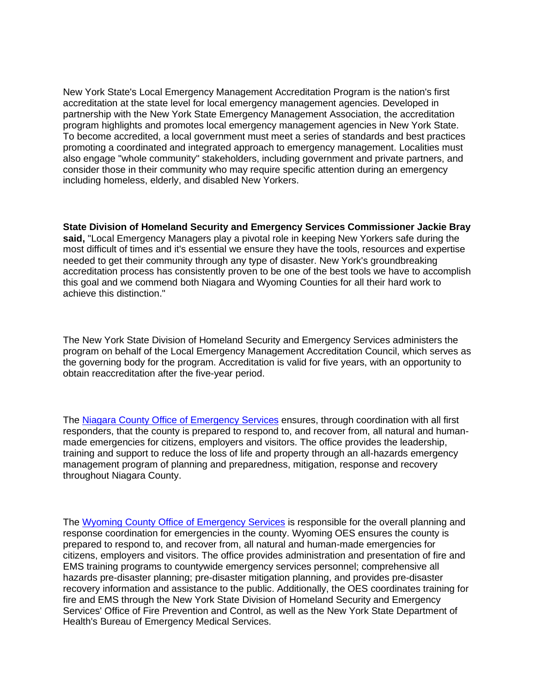New York State's Local Emergency Management Accreditation Program is the nation's first accreditation at the state level for local emergency management agencies. Developed in partnership with the New York State Emergency Management Association, the accreditation program highlights and promotes local emergency management agencies in New York State. To become accredited, a local government must meet a series of standards and best practices promoting a coordinated and integrated approach to emergency management. Localities must also engage "whole community" stakeholders, including government and private partners, and consider those in their community who may require specific attention during an emergency including homeless, elderly, and disabled New Yorkers.

**State Division of Homeland Security and Emergency Services Commissioner Jackie Bray said,** "Local Emergency Managers play a pivotal role in keeping New Yorkers safe during the most difficult of times and it's essential we ensure they have the tools, resources and expertise needed to get their community through any type of disaster. New York's groundbreaking accreditation process has consistently proven to be one of the best tools we have to accomplish this goal and we commend both Niagara and Wyoming Counties for all their hard work to achieve this distinction."

The New York State Division of Homeland Security and Emergency Services administers the program on behalf of the Local Emergency Management Accreditation Council, which serves as the governing body for the program. Accreditation is valid for five years, with an opportunity to obtain reaccreditation after the five-year period.

The Niagara County Office of [Emergency](https://gcc02.safelinks.protection.outlook.com/?url=https%3A%2F%2Fwww.niagaracounty.com%2Ffire%2FAbout-Us&data=05%7C01%7CTerry.Hastings%40dhses.ny.gov%7C7b8544499cc243d916df08da496da3d6%7Cf46cb8ea79004d108ceb80e8c1c81ee7%7C0%7C0%7C637903032484458046%7CUnknown%7CTWFpbGZsb3d8eyJWIjoiMC4wLjAwMDAiLCJQIjoiV2luMzIiLCJBTiI6Ik1haWwiLCJXVCI6Mn0%3D%7C3000%7C%7C%7C&sdata=2Yp0ryq0soebqjsswhbxd7%2Fs4dVatCMcTY49b3Os5yg%3D&reserved=0) Services ensures, through coordination with all first responders, that the county is prepared to respond to, and recover from, all natural and humanmade emergencies for citizens, employers and visitors. The office provides the leadership, training and support to reduce the loss of life and property through an all-hazards emergency management program of planning and preparedness, mitigation, response and recovery throughout Niagara County.

The Wyoming County Office of [Emergency](https://gcc02.safelinks.protection.outlook.com/?url=https%3A%2F%2Fwww.wyomingco.net%2F190%2FEmergency-Services&data=05%7C01%7CTerry.Hastings%40dhses.ny.gov%7C7b8544499cc243d916df08da496da3d6%7Cf46cb8ea79004d108ceb80e8c1c81ee7%7C0%7C0%7C637903032484458046%7CUnknown%7CTWFpbGZsb3d8eyJWIjoiMC4wLjAwMDAiLCJQIjoiV2luMzIiLCJBTiI6Ik1haWwiLCJXVCI6Mn0%3D%7C3000%7C%7C%7C&sdata=zkSYvznilHQIyATaradiHu%2BWlZ8NS57GT%2B%2BI8KGCW6g%3D&reserved=0) Services is responsible for the overall planning and response coordination for emergencies in the county. Wyoming OES ensures the county is prepared to respond to, and recover from, all natural and human-made emergencies for citizens, employers and visitors. The office provides administration and presentation of fire and EMS training programs to countywide emergency services personnel; comprehensive all hazards pre-disaster planning; pre-disaster mitigation planning, and provides pre-disaster recovery information and assistance to the public. Additionally, the OES coordinates training for fire and EMS through the New York State Division of Homeland Security and Emergency Services' Office of Fire Prevention and Control, as well as the New York State Department of Health's Bureau of Emergency Medical Services.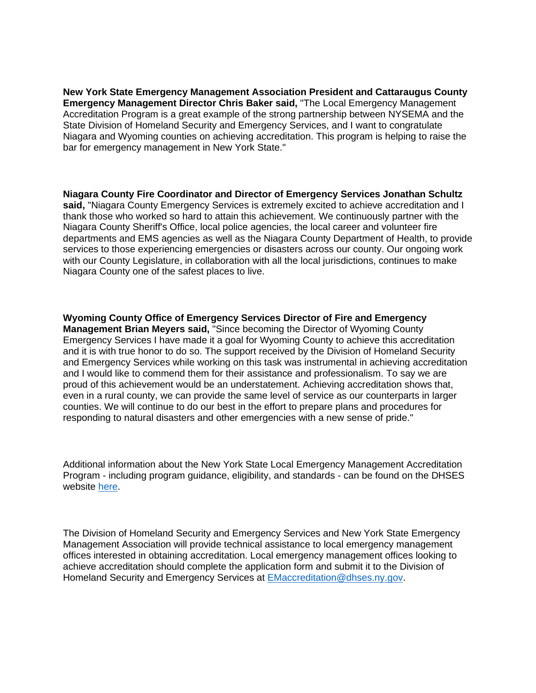**New York State Emergency Management Association President and Cattaraugus County Emergency Management Director Chris Baker said,** "The Local Emergency Management Accreditation Program is a great example of the strong partnership between NYSEMA and the State Division of Homeland Security and Emergency Services, and I want to congratulate Niagara and Wyoming counties on achieving accreditation. This program is helping to raise the bar for emergency management in New York State."

**Niagara County Fire Coordinator and Director of Emergency Services Jonathan Schultz said,** "Niagara County Emergency Services is extremely excited to achieve accreditation and I thank those who worked so hard to attain this achievement. We continuously partner with the Niagara County Sheriff's Office, local police agencies, the local career and volunteer fire departments and EMS agencies as well as the Niagara County Department of Health, to provide services to those experiencing emergencies or disasters across our county. Our ongoing work with our County Legislature, in collaboration with all the local jurisdictions, continues to make Niagara County one of the safest places to live.

**Wyoming County Office of Emergency Services Director of Fire and Emergency Management Brian Meyers said,** "Since becoming the Director of Wyoming County Emergency Services I have made it a goal for Wyoming County to achieve this accreditation and it is with true honor to do so. The support received by the Division of Homeland Security and Emergency Services while working on this task was instrumental in achieving accreditation and I would like to commend them for their assistance and professionalism. To say we are proud of this achievement would be an understatement. Achieving accreditation shows that, even in a rural county, we can provide the same level of service as our counterparts in larger counties. We will continue to do our best in the effort to prepare plans and procedures for responding to natural disasters and other emergencies with a new sense of pride."

Additional information about the New York State Local Emergency Management Accreditation Program - including program guidance, eligibility, and standards - can be found on the DHSES website [here.](https://gcc02.safelinks.protection.outlook.com/?url=https%3A%2F%2Fwww.dhses.ny.gov%2Flocal-emergency-management-accreditation-program&data=05%7C01%7CTerry.Hastings%40dhses.ny.gov%7C7b8544499cc243d916df08da496da3d6%7Cf46cb8ea79004d108ceb80e8c1c81ee7%7C0%7C0%7C637903032484458046%7CUnknown%7CTWFpbGZsb3d8eyJWIjoiMC4wLjAwMDAiLCJQIjoiV2luMzIiLCJBTiI6Ik1haWwiLCJXVCI6Mn0%3D%7C3000%7C%7C%7C&sdata=BkIJu7m%2Bm5M5%2F6PzegxTgrhcVFAK4k7MI8DxateH360%3D&reserved=0)

The Division of Homeland Security and Emergency Services and New York State Emergency Management Association will provide technical assistance to local emergency management offices interested in obtaining accreditation. Local emergency management offices looking to achieve accreditation should complete the application form and submit it to the Division of Homeland Security and Emergency Services at [EMaccreditation@dhses.ny.gov.](mailto:EMaccreditation@dhses.ny.gov)